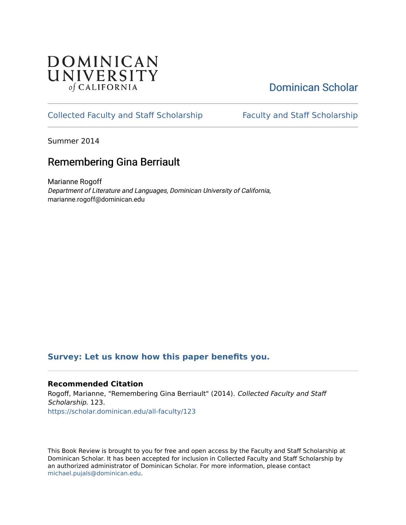

# [Dominican Scholar](https://scholar.dominican.edu/)

## [Collected Faculty and Staff Scholarship](https://scholar.dominican.edu/all-faculty) [Faculty and Staff Scholarship](https://scholar.dominican.edu/faculty-scholarship)

Summer 2014

## Remembering Gina Berriault

Marianne Rogoff Department of Literature and Languages, Dominican University of California, marianne.rogoff@dominican.edu

## **[Survey: Let us know how this paper benefits you.](https://dominican.libwizard.com/dominican-scholar-feedback)**

### **Recommended Citation**

Rogoff, Marianne, "Remembering Gina Berriault" (2014). Collected Faculty and Staff Scholarship. 123. [https://scholar.dominican.edu/all-faculty/123](https://scholar.dominican.edu/all-faculty/123?utm_source=scholar.dominican.edu%2Fall-faculty%2F123&utm_medium=PDF&utm_campaign=PDFCoverPages) 

This Book Review is brought to you for free and open access by the Faculty and Staff Scholarship at Dominican Scholar. It has been accepted for inclusion in Collected Faculty and Staff Scholarship by an authorized administrator of Dominican Scholar. For more information, please contact [michael.pujals@dominican.edu.](mailto:michael.pujals@dominican.edu)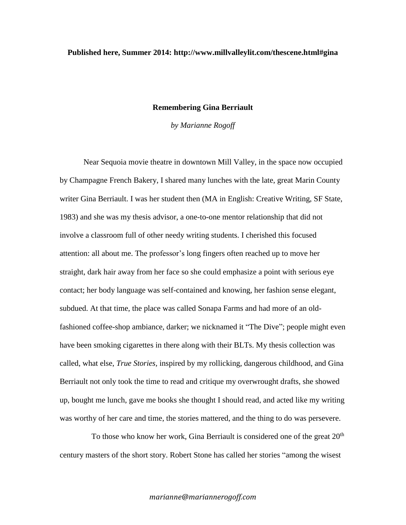### **Published here, Summer 2014: http://www.millvalleylit.com/thescene.html#gina**

#### **Remembering Gina Berriault**

*by Marianne Rogoff*

Near Sequoia movie theatre in downtown Mill Valley, in the space now occupied by Champagne French Bakery, I shared many lunches with the late, great Marin County writer Gina Berriault. I was her student then (MA in English: Creative Writing, SF State, 1983) and she was my thesis advisor, a one-to-one mentor relationship that did not involve a classroom full of other needy writing students. I cherished this focused attention: all about me. The professor's long fingers often reached up to move her straight, dark hair away from her face so she could emphasize a point with serious eye contact; her body language was self-contained and knowing, her fashion sense elegant, subdued. At that time, the place was called Sonapa Farms and had more of an oldfashioned coffee-shop ambiance, darker; we nicknamed it "The Dive"; people might even have been smoking cigarettes in there along with their BLTs. My thesis collection was called, what else, *True Stories,* inspired by my rollicking, dangerous childhood, and Gina Berriault not only took the time to read and critique my overwrought drafts, she showed up, bought me lunch, gave me books she thought I should read, and acted like my writing was worthy of her care and time, the stories mattered, and the thing to do was persevere.

To those who know her work, Gina Berriault is considered one of the great  $20<sup>th</sup>$ century masters of the short story. Robert Stone has called her stories "among the wisest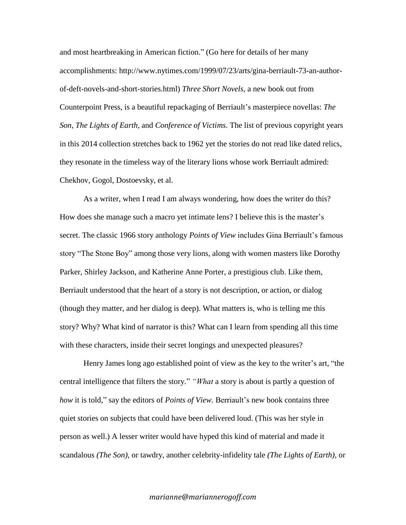and most heartbreaking in American fiction." (Go here for details of her many accomplishments: [http://www.nytimes.com/1999/07/23/arts/gina-berriault-73-an-author](http://www.nytimes.com/1999/07/23/arts/gina-berriault-73-an-author-of-deft-novels-and-short-stories.html)[of-deft-novels-and-short-stories.html\)](http://www.nytimes.com/1999/07/23/arts/gina-berriault-73-an-author-of-deft-novels-and-short-stories.html) *Three Short Novels,* a new book out from Counterpoint Press, is a beautiful repackaging of Berriault's masterpiece novellas: *The Son, The Lights of Earth,* and *Conference of Victims.* The list of previous copyright years in this 2014 collection stretches back to 1962 yet the stories do not read like dated relics, they resonate in the timeless way of the literary lions whose work Berriault admired: Chekhov, Gogol, Dostoevsky, et al.

As a writer, when I read I am always wondering, how does the writer do this? How does she manage such a macro yet intimate lens? I believe this is the master's secret. The classic 1966 story anthology *Points of View* includes Gina Berriault's famous story "The Stone Boy" among those very lions, along with women masters like Dorothy Parker, Shirley Jackson, and Katherine Anne Porter, a prestigious club. Like them, Berriault understood that the heart of a story is not description, or action, or dialog (though they matter, and her dialog is deep). What matters is, who is telling me this story? Why? What kind of narrator is this? What can I learn from spending all this time with these characters, inside their secret longings and unexpected pleasures?

Henry James long ago established point of view as the key to the writer's art, "the central intelligence that filters the story." *"What* a story is about is partly a question of *how* it is told," say the editors of *Points of View.* Berriault's new book contains three quiet stories on subjects that could have been delivered loud. (This was her style in person as well.) A lesser writer would have hyped this kind of material and made it scandalous *(The Son),* or tawdry, another celebrity-infidelity tale *(The Lights of Earth),* or